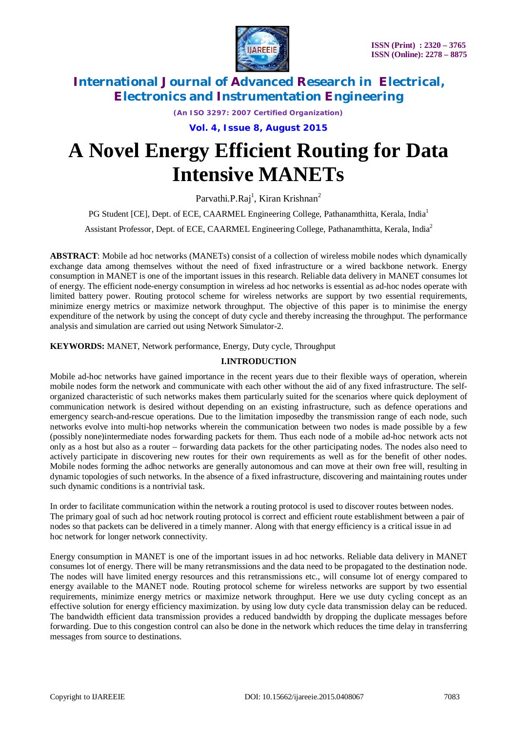

*(An ISO 3297: 2007 Certified Organization)*

**Vol. 4, Issue 8, August 2015**

# **A Novel Energy Efficient Routing for Data Intensive MANETs**

Parvathi.P.Raj<sup>1</sup>, Kiran Krishnan<sup>2</sup>

PG Student [CE], Dept. of ECE, CAARMEL Engineering College, Pathanamthitta, Kerala, India<sup>1</sup>

Assistant Professor, Dept. of ECE, CAARMEL Engineering College, Pathanamthitta, Kerala, India<sup>2</sup>

**ABSTRACT**: Mobile ad hoc networks (MANETs) consist of a collection of wireless mobile nodes which dynamically exchange data among themselves without the need of fixed infrastructure or a wired backbone network. Energy consumption in MANET is one of the important issues in this research. Reliable data delivery in MANET consumes lot of energy. The efficient node-energy consumption in wireless ad hoc networks is essential as ad-hoc nodes operate with limited battery power. Routing protocol scheme for wireless networks are support by two essential requirements, minimize energy metrics or maximize network throughput. The objective of this paper is to minimise the energy expenditure of the network by using the concept of duty cycle and thereby increasing the throughput. The performance analysis and simulation are carried out using Network Simulator-2.

**KEYWORDS:** MANET, Network performance, Energy, Duty cycle, Throughput

### **I.INTRODUCTION**

Mobile ad-hoc networks have gained importance in the recent years due to their flexible ways of operation, wherein mobile nodes form the network and communicate with each other without the aid of any fixed infrastructure. The selforganized characteristic of such networks makes them particularly suited for the scenarios where quick deployment of communication network is desired without depending on an existing infrastructure, such as defence operations and emergency search-and-rescue operations. Due to the limitation imposedby the transmission range of each node, such networks evolve into multi-hop networks wherein the communication between two nodes is made possible by a few (possibly none)intermediate nodes forwarding packets for them. Thus each node of a mobile ad-hoc network acts not only as a host but also as a router – forwarding data packets for the other participating nodes. The nodes also need to actively participate in discovering new routes for their own requirements as well as for the benefit of other nodes. Mobile nodes forming the adhoc networks are generally autonomous and can move at their own free will, resulting in dynamic topologies of such networks. In the absence of a fixed infrastructure, discovering and maintaining routes under such dynamic conditions is a nontrivial task.

In order to facilitate communication within the network a routing protocol is used to discover routes between nodes. The primary goal of such ad hoc network routing protocol is correct and efficient route establishment between a pair of nodes so that packets can be delivered in a timely manner. Along with that energy efficiency is a critical issue in ad hoc network for longer network connectivity.

Energy consumption in MANET is one of the important issues in ad hoc networks. Reliable data delivery in MANET consumes lot of energy. There will be many retransmissions and the data need to be propagated to the destination node. The nodes will have limited energy resources and this retransmissions etc., will consume lot of energy compared to energy available to the MANET node. Routing protocol scheme for wireless networks are support by two essential requirements, minimize energy metrics or maximize network throughput. Here we use duty cycling concept as an effective solution for energy efficiency maximization. by using low duty cycle data transmission delay can be reduced. The bandwidth efficient data transmission provides a reduced bandwidth by dropping the duplicate messages before forwarding. Due to this congestion control can also be done in the network which reduces the time delay in transferring messages from source to destinations.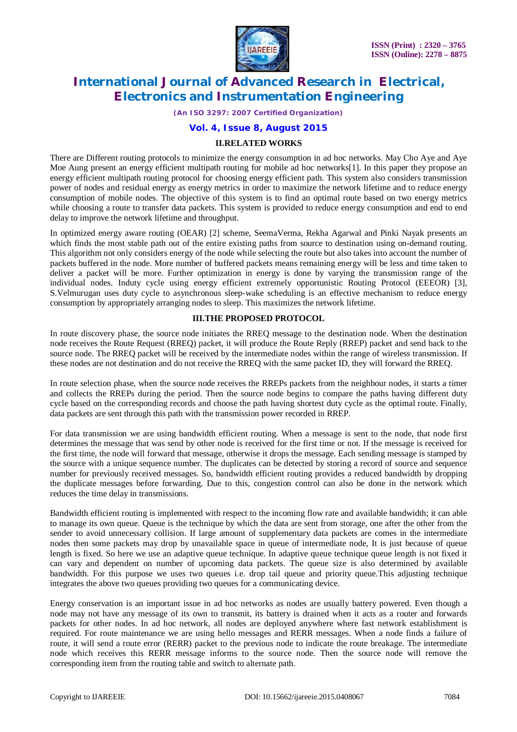

*(An ISO 3297: 2007 Certified Organization)*

### **Vol. 4, Issue 8, August 2015**

#### **II.RELATED WORKS**

There are Different routing protocols to minimize the energy consumption in ad hoc networks. May Cho Aye and Aye Moe Aung present an energy efficient multipath routing for mobile ad hoc networks[1]. In this paper they propose an energy efficient multipath routing protocol for choosing energy efficient path. This system also considers transmission power of nodes and residual energy as energy metrics in order to maximize the network lifetime and to reduce energy consumption of mobile nodes. The objective of this system is to find an optimal route based on two energy metrics while choosing a route to transfer data packets. This system is provided to reduce energy consumption and end to end delay to improve the network lifetime and throughput.

In optimized energy aware routing (OEAR) [2] scheme, SeemaVerma, Rekha Agarwal and Pinki Nayak presents an which finds the most stable path out of the entire existing paths from source to destination using on-demand routing. This algorithm not only considers energy of the node while selecting the route but also takes into account the number of packets buffered in the node. More number of buffered packets means remaining energy will be less and time taken to deliver a packet will be more. Further optimization in energy is done by varying the transmission range of the individual nodes. Induty cycle using energy efficient extremely opportunistic Routing Protocol (EEEOR) [3], S.Velmurugan uses duty cycle to asynchronous sleep-wake scheduling is an effective mechanism to reduce energy consumption by appropriately arranging nodes to sleep. This maximizes the network lifetime.

### **III.THE PROPOSED PROTOCOL**

In route discovery phase, the source node initiates the RREQ message to the destination node. When the destination node receives the Route Request (RREQ) packet, it will produce the Route Reply (RREP) packet and send back to the source node. The RREQ packet will be received by the intermediate nodes within the range of wireless transmission. If these nodes are not destination and do not receive the RREQ with the same packet ID, they will forward the RREQ.

In route selection phase, when the source node receives the RREPs packets from the neighbour nodes, it starts a timer and collects the RREPs during the period. Then the source node begins to compare the paths having different duty cycle based on the corresponding records and choose the path having shortest duty cycle as the optimal route. Finally, data packets are sent through this path with the transmission power recorded in RREP.

For data transmission we are using bandwidth efficient routing. When a message is sent to the node, that node first determines the message that was send by other node is received for the first time or not. If the message is received for the first time, the node will forward that message, otherwise it drops the message. Each sending message is stamped by the source with a unique sequence number. The duplicates can be detected by storing a record of source and sequence number for previously received messages. So, bandwidth efficient routing provides a reduced bandwidth by dropping the duplicate messages before forwarding. Due to this, congestion control can also be done in the network which reduces the time delay in transmissions.

Bandwidth efficient routing is implemented with respect to the incoming flow rate and available bandwidth; it can able to manage its own queue. Queue is the technique by which the data are sent from storage, one after the other from the sender to avoid unnecessary collision. If large amount of supplementary data packets are comes in the intermediate nodes then some packets may drop by unavailable space in queue of intermediate node, It is just because of queue length is fixed. So here we use an adaptive queue technique. In adaptive queue technique queue length is not fixed it can vary and dependent on number of upcoming data packets. The queue size is also determined by available bandwidth. For this purpose we uses two queues i.e. drop tail queue and priority queue.This adjusting technique integrates the above two queues providing two queues for a communicating device.

Energy conservation is an important issue in ad hoc networks as nodes are usually battery powered. Even though a node may not have any message of its own to transmit, its battery is drained when it acts as a router and forwards packets for other nodes. In ad hoc network, all nodes are deployed anywhere where fast network establishment is required. For route maintenance we are using hello messages and RERR messages. When a node finds a failure of route, it will send a route error (RERR) packet to the previous node to indicate the route breakage. The intermediate node which receives this RERR message informs to the source node. Then the source node will remove the corresponding item from the routing table and switch to alternate path.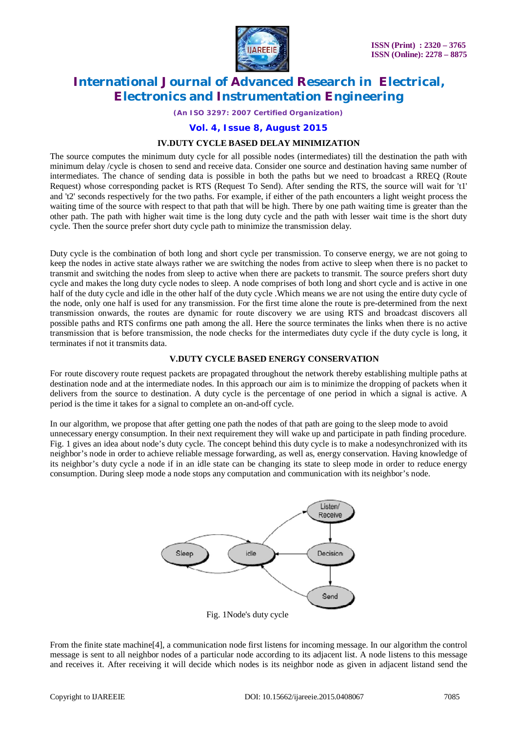

*(An ISO 3297: 2007 Certified Organization)*

### **Vol. 4, Issue 8, August 2015**

#### **IV.DUTY CYCLE BASED DELAY MINIMIZATION**

The source computes the minimum duty cycle for all possible nodes (intermediates) till the destination the path with minimum delay /cycle is chosen to send and receive data. Consider one source and destination having same number of intermediates. The chance of sending data is possible in both the paths but we need to broadcast a RREQ (Route Request) whose corresponding packet is RTS (Request To Send). After sending the RTS, the source will wait for 't1' and 't2' seconds respectively for the two paths. For example, if either of the path encounters a light weight process the waiting time of the source with respect to that path that will be high. There by one path waiting time is greater than the other path. The path with higher wait time is the long duty cycle and the path with lesser wait time is the short duty cycle. Then the source prefer short duty cycle path to minimize the transmission delay.

Duty cycle is the combination of both long and short cycle per transmission. To conserve energy, we are not going to keep the nodes in active state always rather we are switching the nodes from active to sleep when there is no packet to transmit and switching the nodes from sleep to active when there are packets to transmit. The source prefers short duty cycle and makes the long duty cycle nodes to sleep. A node comprises of both long and short cycle and is active in one half of the duty cycle and idle in the other half of the duty cycle .Which means we are not using the entire duty cycle of the node, only one half is used for any transmission. For the first time alone the route is pre-determined from the next transmission onwards, the routes are dynamic for route discovery we are using RTS and broadcast discovers all possible paths and RTS confirms one path among the all. Here the source terminates the links when there is no active transmission that is before transmission, the node checks for the intermediates duty cycle if the duty cycle is long, it terminates if not it transmits data.

#### **V.DUTY CYCLE BASED ENERGY CONSERVATION**

For route discovery route request packets are propagated throughout the network thereby establishing multiple paths at destination node and at the intermediate nodes. In this approach our aim is to minimize the dropping of packets when it delivers from the source to destination. A duty cycle is the percentage of one period in which a signal is active. A period is the time it takes for a signal to complete an on-and-off cycle.

In our algorithm, we propose that after getting one path the nodes of that path are going to the sleep mode to avoid unnecessary energy consumption. In their next requirement they will wake up and participate in path finding procedure. Fig. 1 gives an idea about node's duty cycle. The concept behind this duty cycle is to make a nodesynchronized with its neighbor's node in order to achieve reliable message forwarding, as well as, energy conservation. Having knowledge of its neighbor's duty cycle a node if in an idle state can be changing its state to sleep mode in order to reduce energy consumption. During sleep mode a node stops any computation and communication with its neighbor's node.



From the finite state machine[4], a communication node first listens for incoming message. In our algorithm the control message is sent to all neighbor nodes of a particular node according to its adjacent list. A node listens to this message and receives it. After receiving it will decide which nodes is its neighbor node as given in adjacent listand send the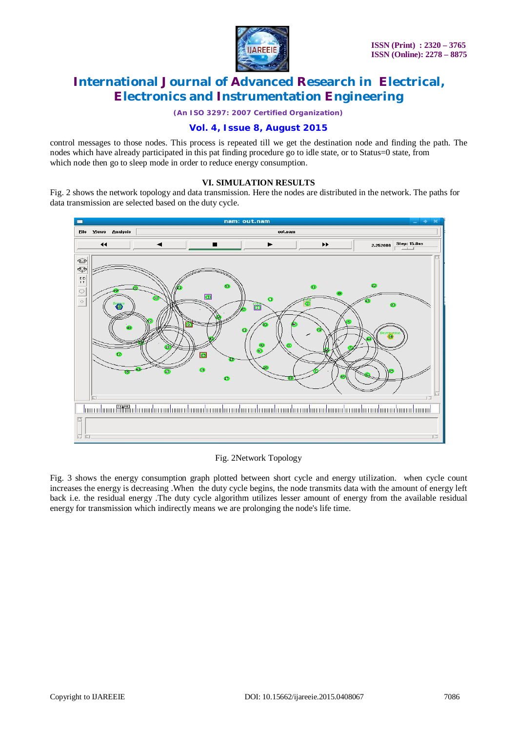

*(An ISO 3297: 2007 Certified Organization)*

### **Vol. 4, Issue 8, August 2015**

control messages to those nodes. This process is repeated till we get the destination node and finding the path. The nodes which have already participated in this pat finding procedure go to idle state, or to Status=0 state, from which node then go to sleep mode in order to reduce energy consumption.

### **VI. SIMULATION RESULTS**

Fig. 2 shows the network topology and data transmission. Here the nodes are distributed in the network. The paths for data transmission are selected based on the duty cycle.



### Fig. 2Network Topology

Fig. 3 shows the energy consumption graph plotted between short cycle and energy utilization. when cycle count increases the energy is decreasing .When the duty cycle begins, the node transmits data with the amount of energy left back i.e. the residual energy .The duty cycle algorithm utilizes lesser amount of energy from the available residual energy for transmission which indirectly means we are prolonging the node's life time.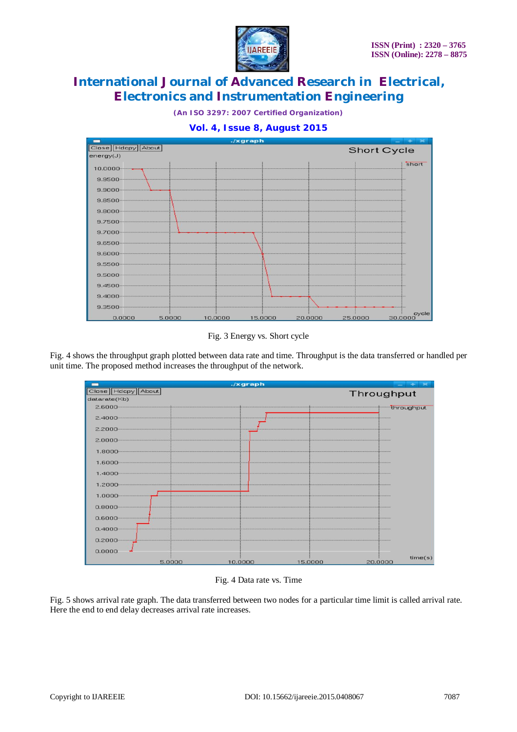

*(An ISO 3297: 2007 Certified Organization)*

### **Vol. 4, Issue 8, August 2015**



Fig. 3 Energy vs. Short cycle

Fig. 4 shows the throughput graph plotted between data rate and time. Throughput is the data transferred or handled per unit time. The proposed method increases the throughput of the network.



Fig. 4 Data rate vs. Time

Fig. 5 shows arrival rate graph. The data transferred between two nodes for a particular time limit is called arrival rate. Here the end to end delay decreases arrival rate increases.